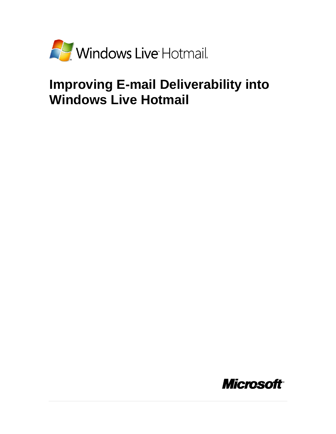

# **Improving E-mail Deliverability into Windows Live Hotmail**

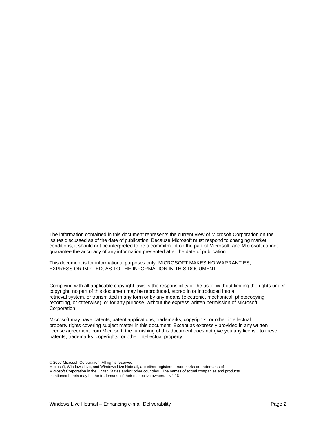The information contained in this document represents the current view of Microsoft Corporation on the issues discussed as of the date of publication. Because Microsoft must respond to changing market conditions, it should not be interpreted to be a commitment on the part of Microsoft, and Microsoft cannot guarantee the accuracy of any information presented after the date of publication.

This document is for informational purposes only. MICROSOFT MAKES NO WARRANTIES, EXPRESS OR IMPLIED, AS TO THE INFORMATION IN THIS DOCUMENT.

Complying with all applicable copyright laws is the responsibility of the user. Without limiting the rights under copyright, no part of this document may be reproduced, stored in or introduced into a retrieval system, or transmitted in any form or by any means (electronic, mechanical, photocopying, recording, or otherwise), or for any purpose, without the express written permission of Microsoft Corporation.

Microsoft may have patents, patent applications, trademarks, copyrights, or other intellectual property rights covering subject matter in this document. Except as expressly provided in any written license agreement from Microsoft, the furnishing of this document does not give you any license to these patents, trademarks, copyrights, or other intellectual property.

*©* 2007 Microsoft Corporation. All rights reserved. Microsoft, Windows Live, and Windows Live Hotmail, are either registered trademarks or trademarks of Microsoft Corporation in the United States and/or other countries. The names of actual companies and products mentioned herein may be the trademarks of their respective owners. v4.16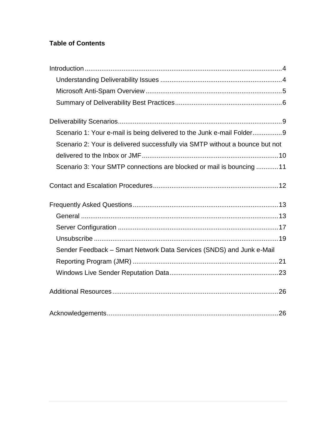# **Table of Contents**

| Scenario 1: Your e-mail is being delivered to the Junk e-mail Folder9        |
|------------------------------------------------------------------------------|
| Scenario 2: Your is delivered successfully via SMTP without a bounce but not |
|                                                                              |
| Scenario 3: Your SMTP connections are blocked or mail is bouncing  11        |
|                                                                              |
|                                                                              |
|                                                                              |
|                                                                              |
|                                                                              |
| Sender Feedback - Smart Network Data Services (SNDS) and Junk e-Mail         |
|                                                                              |
|                                                                              |
|                                                                              |
|                                                                              |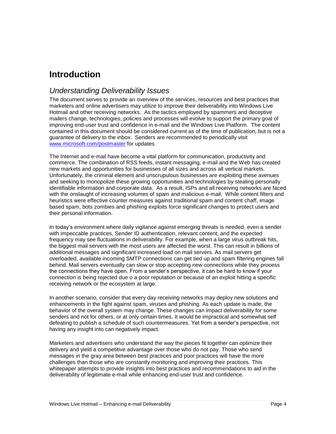# <span id="page-3-0"></span>**Introduction**

### <span id="page-3-1"></span>*Understanding Deliverability Issues*

The document serves to provide an overview of the services, resources and best practices that marketers and online advertisers may utilize to improve their deliverability into Windows Live Hotmail and other receiving networks. As the tactics employed by spammers and deceptive mailers change, technologies, policies and processes will evolve to support the primary goal of improving end-user trust and confidence in e-mail and the Windows Live Platform. The content contained in this document should be considered current as of the time of publication, but is not a guarantee of delivery to the inbox. Senders are recommended to periodically visit [www.microsoft.com/postmaster](http://www.microsoft.com/postmaster) for updates.

The Internet and e-mail have become a vital platform for communication, productivity and commerce. The combination of RSS feeds, instant messaging, e-mail and the Web has created new markets and opportunities for businesses of all sizes and across all vertical markets. Unfortunately, the criminal element and unscrupulous businesses are exploiting these avenues and seeking to monopolize these growing opportunities and technologies by stealing personally identifiable information and corporate data. As a result, ISPs and all receiving networks are faced with the onslaught of increasing volumes of spam and malicious e-mail. While content filters and heuristics were effective counter measures against traditional spam and content chaff, image based spam, bots zombies and phishing exploits force significant changes to protect users and their personal information.

In today"s environment where daily vigilance against emerging threats is needed, even a sender with impeccable practices, Sender ID authentication, relevant content, and the expected frequency may see fluctuations in deliverability. For example, when a large virus outbreak hits, the biggest mail servers with the most users are affected the worst. This can result in billions of additional messages and significant increased load on mail servers. As mail servers get overloaded, available incoming SMTP connections can get tied up and spam filtering engines fall behind. Mail servers eventually can slow or stop accepting new connections while they process the connections they have open. From a sender"s perspective, it can be hard to know if your connection is being rejected due o a poor reputation or because of an exploit hitting a specific receiving network or the ecosystem at large.

In another scenario, consider that every day receiving networks may deploy new solutions and enhancements in the fight against spam, viruses and phishing. As each update is made, the behavior of the overall system may change. These changes can impact deliverability for some senders and not for others, or at only certain times. It would be impractical and somewhat self defeating to publish a schedule of such countermeasures. Yet from a sender"s perspective, not having any insight into can negatively impact.

Marketers and advertisers who understand the way the pieces fit together can optimize their delivery and yield a competitive advantage over those who do not pay. Those who send messages in the gray area between best practices and poor practices will have the more challenges than those who are constantly monitoring and improving their practices. This whitepaper attempts to provide insights into best practices and recommendations to aid in the deliverability of legitimate e-mail while enhancing end-user trust and confidence.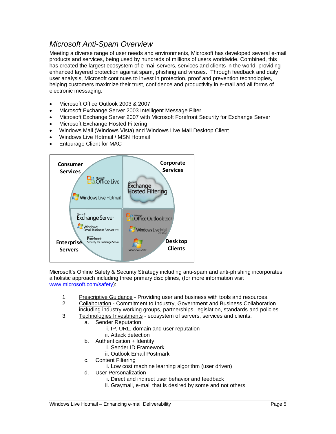# *Microsoft Anti-Spam Overview*

<span id="page-4-0"></span>Meeting a diverse range of user needs and environments, Microsoft has developed several e-mail products and services, being used by hundreds of millions of users worldwide. Combined, this has created the largest ecosystem of e-mail servers, services and clients in the world, providing enhanced layered protection against spam, phishing and viruses. Through feedback and daily user analysis, Microsoft continues to invest in protection, proof and prevention technologies, helping customers maximize their trust, confidence and productivity in e-mail and all forms of electronic messaging.

- Microsoft Office Outlook 2003 & 2007
- Microsoft Exchange Server 2003 Intelligent Message Filter
- Microsoft Exchange Server 2007 with Microsoft Forefront Security for Exchange Server
- Microsoft Exchange Hosted Filtering
- Windows Mail (Windows Vista) and Windows Live Mail Desktop Client
- Windows Live Hotmail / MSN Hotmail
- Entourage Client for MAC



Microsoft"s Online Safety & Security Strategy including anti-spam and anti-phishing incorporates a holistic approach including three primary disciplines, (for more information visit [www.microsoft.com/safety\)](http://www.microsoft.com/safety):

- 1. Prescriptive Guidance Providing user and business with tools and resources.
- 2. Collaboration Commitment to Industry, Government and Business Collaboration
- including industry working groups, partnerships, legislation, standards and policies 3. Technologies Investments - ecosystem of servers, services and clients:
	- a. Sender Reputation
		- i. IP, URL, domain and user reputation
		- ii. Attack detection
	- b. Authentication + Identity
		- i. Sender ID Framework
		- ii. Outlook Email Postmark
	- c. Content Filtering
		- i. Low cost machine learning algorithm (user driven)
	- d. User Personalization
		- i. Direct and indirect user behavior and feedback
		- ii. Graymail, e-mail that is desired by some and not others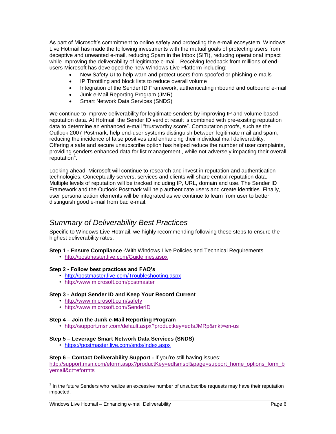As part of Microsoft"s commitment to online safety and protecting the e-mail ecosystem, Windows Live Hotmail has made the following investments with the mutual goals of protecting users from deceptive and unwanted e-mail, reducing Spam in the Inbox (SITI), reducing operational impact while improving the deliverability of legitimate e-mail. Receiving feedback from millions of endusers Microsoft has developed the new Windows Live Platform including;

- New Safety UI to help warn and protect users from spoofed or phishing e-mails
- IP Throttling and block lists to reduce overall volume
- Integration of the Sender ID Framework, authenticating inbound and outbound e-mail
- Junk e-Mail Reporting Program (JMR)
- Smart Network Data Services (SNDS)

We continue to improve deliverability for legitimate senders by improving IP and volume based reputation data. At Hotmail, the Sender ID verdict result is combined with pre-existing reputation data to determine an enhanced e-mail "trustworthy score". Computation proofs, such as the Outlook 2007 Postmark, help end-user systems distinguish between legitimate mail and spam, reducing the incidence of false positives and enhancing their individual mail deliverability. Offering a safe and secure unsubscribe option has helped reduce the number of user complaints, providing senders enhanced data for list management , while not adversely impacting their overall .<br>reputation<sup>1</sup>.

Looking ahead, Microsoft will continue to research and invest in reputation and authentication technologies. Conceptually servers, services and clients will share central reputation data. Multiple levels of reputation will be tracked including IP, URL, domain and use. The Sender ID Framework and the Outlook Postmark will help authenticate users and create identities. Finally, user personalization elements will be integrated as we continue to learn from user to better distinguish good e-mail from bad e-mail.

### <span id="page-5-0"></span>*Summary of Deliverability Best Practices*

Specific to Windows Live Hotmail, we highly recommending following these steps to ensure the highest deliverability rates:

- **Step 1 - Ensure Compliance -**With Windows Live Policies and Technical Requirements
	- <http://postmaster.live.com/Guidelines.aspx>

#### **Step 2 - Follow best practices and FAQ's**

- <http://postmaster.live.com/Troubleshooting.aspx>
- <http://www.microsoft.com/postmaster>

#### **Step 3 - Adopt Sender ID and Keep Your Record Curren[t](http://microsoft.com/safety)**

- <http://www.microsoft.com/safety>
- <http://www.microsoft.com/SenderID>

#### **Step 4 – Join the Junk e-Mail Reporting Program**

• [http://support.msn.com/default.aspx?productkey=edfsJMRp&mkt=en-us](http://support.msn.com/default.aspx?productkey=edfsjmrpp&mkt=en-us)

#### **Step 5 – Leverage Smart Network Data Services (SNDS)**

• [https://postmaster.live.com/snds/index.aspx](http://support.msn.com/default.aspx?productkey=edfsjmrpp&mkt=en-us)

#### **Step 6 – Contact Deliverability Support - If you're still having issues:**

[http://support.msn.com/eform.aspx?productKey=edfsmsbl&page=support\\_home\\_options\\_form\\_b](http://support.msn.com/eform.aspx?productKey=edfsmsbl&page=support_home_options_form_byemail&ct=eformts) [yemail&ct=eformts](http://support.msn.com/eform.aspx?productKey=edfsmsbl&page=support_home_options_form_byemail&ct=eformts)

 $\overline{a}$ 

 $1$  In the future Senders who realize an excessive number of unsubscribe requests may have their reputation impacted.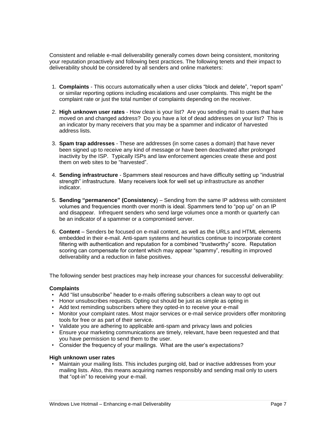Consistent and reliable e-mail deliverability generally comes down being consistent, monitoring your reputation proactively and following best practices. The following tenets and their impact to deliverability should be considered by all senders and online marketers:

- 1. **Complaints** This occurs automatically when a user clicks "block and delete", "report spam" or similar reporting options including escalations and user complaints. This might be the complaint rate or just the total number of complaints depending on the receiver.
- 2. **High unknown user rates** How clean is your list? Are you sending mail to users that have moved on and changed address? Do you have a lot of dead addresses on your list? This is an indicator by many receivers that you may be a spammer and indicator of harvested address lists.
- 3. **Spam trap addresses** These are addresses (in some cases a domain) that have never been signed up to receive any kind of message or have been deactivated after prolonged inactivity by the ISP. Typically ISPs and law enforcement agencies create these and post them on web sites to be "harvested".
- 4. **Sending infrastructure** Spammers steal resources and have difficulty setting up "industrial strength" infrastructure. Many receivers look for well set up infrastructure as another indicator.
- 5. **Sending "permanence" (Consistency**) Sending from the same IP address with consistent volumes and frequencies month over month is ideal. Spammers tend to "pop up" on an IP and disappear. Infrequent senders who send large volumes once a month or quarterly can be an indicator of a spammer or a compromised server.
- 6. **Content** Senders be focused on e-mail content, as well as the URLs and HTML elements embedded in their e-mail. Anti-spam systems and heuristics continue to incorporate content filtering with authentication and reputation for a combined "trustworthy" score. Reputation scoring can compensate for content which may appear "spammy", resulting in improved deliverability and a reduction in false positives.

The following sender best practices may help increase your chances for successful deliverability:

#### **Complaints**

- Add "list unsubscribe" header to e-mails offering subscribers a clean way to opt out
- Honor unsubscribes requests. Opting out should be just as simple as opting in
- Add text reminding subscribers where they opted-in to receive your e-mail
- Monitor your complaint rates. Most major services or e-mail service providers offer monitoring tools for free or as part of their service.
- Validate you are adhering to applicable anti-spam and privacy laws and policies
- Ensure your marketing communications are timely, relevant, have been requested and that you have permission to send them to the user.
- Consider the frequency of your mailings. What are the user"s expectations?

#### **High unknown user rates**

• Maintain your mailing lists. This includes purging old, bad or inactive addresses from your mailing lists. Also, this means acquiring names responsibly and sending mail only to users that "opt-in" to receiving your e-mail.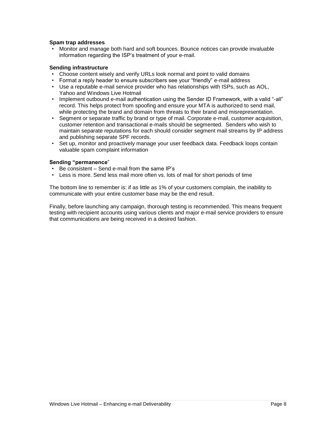#### **Spam trap addresses**

• Monitor and manage both hard and soft bounces. Bounce notices can provide invaluable information regarding the ISP"s treatment of your e-mail.

#### **Sending infrastructure**

- Choose content wisely and verify URLs look normal and point to valid domains
- Format a reply header to ensure subscribers see your "friendly" e-mail address
- Use a reputable e-mail service provider who has relationships with ISPs, such as AOL, Yahoo and Windows Live Hotmail
- Implement outbound e-mail authentication using the Sender ID Framework, with a valid "-all" record. This helps protect from spoofing and ensure your MTA is authorized to send mail, while protecting the brand and domain from threats to their brand and misrepresentation.
- Segment or separate traffic by brand or type of mail. Corporate e-mail, customer acquisition, customer retention and transactional e-mails should be segmented. Senders who wish to maintain separate reputations for each should consider segment mail streams by IP address and publishing separate SPF records.
- Set up, monitor and proactively manage your user feedback data. Feedback loops contain valuable spam complaint information

#### **Sending "permanence**"

- Be consistent Send e-mail from the same IP"s
- Less is more. Send less mail more often vs. lots of mail for short periods of time

The bottom line to remember is: if as little as 1% of your customers complain, the inability to communicate with your entire customer base may be the end result.

Finally, before launching any campaign, thorough testing is recommended. This means frequent testing with recipient accounts using various clients and major e-mail service providers to ensure that communications are being received in a desired fashion.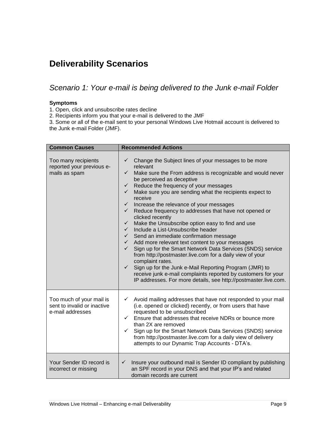# <span id="page-8-0"></span>**Deliverability Scenarios**

<span id="page-8-1"></span>*Scenario 1: Your e-mail is being delivered to the Junk e-mail Folder*

#### **Symptoms**

1. Open, click and unsubscribe rates decline

2. Recipients inform you that your e-mail is delivered to the JMF

3. Some or all of the e-mail sent to your personal Windows Live Hotmail account is delivered to the Junk e-mail Folder (JMF).

| <b>Common Causes</b>                                                        | <b>Recommended Actions</b>                                                                                                                                                                                                                                                                                                                                                                                                                                                                                                                                                                                                                                                                                                                                                                                                                                                                                                                                                                                                                                                                                                        |
|-----------------------------------------------------------------------------|-----------------------------------------------------------------------------------------------------------------------------------------------------------------------------------------------------------------------------------------------------------------------------------------------------------------------------------------------------------------------------------------------------------------------------------------------------------------------------------------------------------------------------------------------------------------------------------------------------------------------------------------------------------------------------------------------------------------------------------------------------------------------------------------------------------------------------------------------------------------------------------------------------------------------------------------------------------------------------------------------------------------------------------------------------------------------------------------------------------------------------------|
| Too many recipients<br>reported your previous e-<br>mails as spam           | Change the Subject lines of your messages to be more<br>$\checkmark$<br>relevant<br>$\checkmark$<br>Make sure the From address is recognizable and would never<br>be perceived as deceptive<br>Reduce the frequency of your messages<br>$\checkmark$<br>Make sure you are sending what the recipients expect to<br>$\checkmark$<br>receive<br>Increase the relevance of your messages<br>$\checkmark$<br>Reduce frequency to addresses that have not opened or<br>$\checkmark$<br>clicked recently<br>Make the Unsubscribe option easy to find and use<br>$\checkmark$<br>Include a List-Unsubscribe header<br>$\checkmark$<br>Send an immediate confirmation message<br>$\checkmark$<br>$\checkmark$ Add more relevant text content to your messages<br>Sign up for the Smart Network Data Services (SNDS) service<br>$\checkmark$<br>from http://postmaster.live.com for a daily view of your<br>complaint rates.<br>Sign up for the Junk e-Mail Reporting Program (JMR) to<br>$\checkmark$<br>receive junk e-mail complaints reported by customers for your<br>IP addresses. For more details, see http://postmaster.live.com. |
| Too much of your mail is<br>sent to invalid or inactive<br>e-mail addresses | Avoid mailing addresses that have not responded to your mail<br>$\checkmark$<br>(i.e. opened or clicked) recently, or from users that have<br>requested to be unsubscribed<br>Ensure that addresses that receive NDRs or bounce more<br>$\checkmark$<br>than 2X are removed<br>Sign up for the Smart Network Data Services (SNDS) service<br>✓<br>from http://postmaster.live.com for a daily view of delivery<br>attempts to our Dynamic Trap Accounts - DTA's.                                                                                                                                                                                                                                                                                                                                                                                                                                                                                                                                                                                                                                                                  |
| Your Sender ID record is<br>incorrect or missing                            | Insure your outbound mail is Sender ID compliant by publishing<br>$\checkmark$<br>an SPF record in your DNS and that your IP's and related<br>domain records are current                                                                                                                                                                                                                                                                                                                                                                                                                                                                                                                                                                                                                                                                                                                                                                                                                                                                                                                                                          |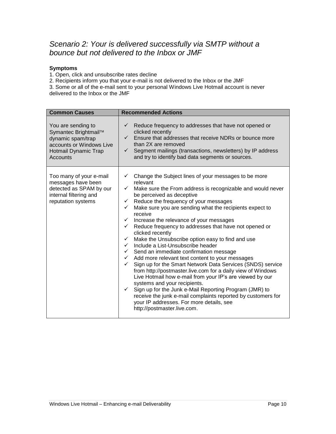# <span id="page-9-0"></span>*Scenario 2: Your is delivered successfully via SMTP without a bounce but not delivered to the Inbox or JMF*

#### **Symptoms**

1. Open, click and unsubscribe rates decline

2. Recipients inform you that your e-mail is not delivered to the Inbox or the JMF

3. Some or all of the e-mail sent to your personal Windows Live Hotmail account is never delivered to the Inbox or the JMF

| <b>Common Causes</b>                                                                                                            | <b>Recommended Actions</b>                                                                                                                                                                                                                                                                                                                                                                                                                                                                                                                                                                                                                                                                                                                                                                                                                                                                                                                                                                                                                                                                                                                                                                            |  |  |  |
|---------------------------------------------------------------------------------------------------------------------------------|-------------------------------------------------------------------------------------------------------------------------------------------------------------------------------------------------------------------------------------------------------------------------------------------------------------------------------------------------------------------------------------------------------------------------------------------------------------------------------------------------------------------------------------------------------------------------------------------------------------------------------------------------------------------------------------------------------------------------------------------------------------------------------------------------------------------------------------------------------------------------------------------------------------------------------------------------------------------------------------------------------------------------------------------------------------------------------------------------------------------------------------------------------------------------------------------------------|--|--|--|
| You are sending to<br>Symantec Brightmail™<br>dynamic spam/trap<br>accounts or Windows Live<br>Hotmail Dynamic Trap<br>Accounts | Reduce frequency to addresses that have not opened or<br>$\checkmark$<br>clicked recently<br>$\checkmark$ Ensure that addresses that receive NDRs or bounce more<br>than 2X are removed<br>Segment mailings (transactions, newsletters) by IP address<br>$\checkmark$<br>and try to identify bad data segments or sources.                                                                                                                                                                                                                                                                                                                                                                                                                                                                                                                                                                                                                                                                                                                                                                                                                                                                            |  |  |  |
| Too many of your e-mail<br>messages have been<br>detected as SPAM by our<br>internal filtering and<br>reputation systems        | Change the Subject lines of your messages to be more<br>✓<br>relevant<br>Make sure the From address is recognizable and would never<br>$\checkmark$<br>be perceived as deceptive<br>Reduce the frequency of your messages<br>$\checkmark$<br>Make sure you are sending what the recipients expect to<br>$\checkmark$<br>receive<br>Increase the relevance of your messages<br>$\checkmark$<br>Reduce frequency to addresses that have not opened or<br>$\checkmark$<br>clicked recently<br>Make the Unsubscribe option easy to find and use<br>$\checkmark$<br>Include a List-Unsubscribe header<br>$\checkmark$<br>$\checkmark$ Send an immediate confirmation message<br>$\checkmark$ Add more relevant text content to your messages<br>Sign up for the Smart Network Data Services (SNDS) service<br>$\checkmark$<br>from http://postmaster.live.com for a daily view of Windows<br>Live Hotmail how e-mail from your IP's are viewed by our<br>systems and your recipients.<br>Sign up for the Junk e-Mail Reporting Program (JMR) to<br>$\checkmark$<br>receive the junk e-mail complaints reported by customers for<br>your IP addresses. For more details, see<br>http://postmaster.live.com. |  |  |  |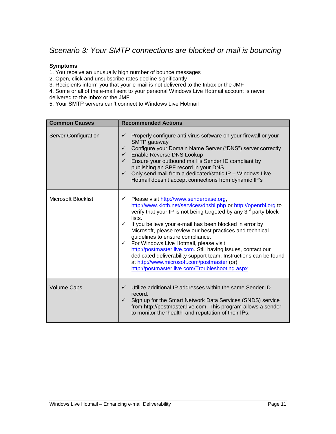# <span id="page-10-0"></span>*Scenario 3: Your SMTP connections are blocked or mail is bouncing*

#### **Symptoms**

1. You receive an unusually high number of bounce messages

- 2. Open, click and unsubscribe rates decline significantly
- 3. Recipients inform you that your e-mail is not delivered to the Inbox or the JMF
- 4. Some or all of the e-mail sent to your personal Windows Live Hotmail account is never delivered to the Inbox or the JMF

5. Your SMTP servers can"t connect to Windows Live Hotmail

| <b>Common Causes</b>        | <b>Recommended Actions</b>                                                                                                                                                                                                                                                                                                                                                                                                                                                                                                                                                                                                                                                                        |
|-----------------------------|---------------------------------------------------------------------------------------------------------------------------------------------------------------------------------------------------------------------------------------------------------------------------------------------------------------------------------------------------------------------------------------------------------------------------------------------------------------------------------------------------------------------------------------------------------------------------------------------------------------------------------------------------------------------------------------------------|
| <b>Server Configuration</b> | Properly configure anti-virus software on your firewall or your<br>✓<br>SMTP gateway<br>Configure your Domain Name Server ("DNS") server correctly<br>$\checkmark$<br>Enable Reverse DNS Lookup<br>$\checkmark$<br>Ensure your outbound mail is Sender ID compliant by<br>$\checkmark$<br>publishing an SPF record in your DNS<br>Only send mail from a dedicated/static IP - Windows Live<br>$\checkmark$<br>Hotmail doesn't accept connections from dynamic IP's                                                                                                                                                                                                                                |
| Microsoft Blocklist         | Please visit http://www.senderbase.org,<br>$\checkmark$<br>http://www.kloth.net/services/dnsbl.php or http://openrbl.org to<br>verify that your IP is not being targeted by any 3 <sup>rd</sup> party block<br>lists.<br>If you believe your e-mail has been blocked in error by<br>$\checkmark$<br>Microsoft, please review our best practices and technical<br>guidelines to ensure compliance.<br>For Windows Live Hotmail, please visit<br>$\checkmark$<br>http://postmaster.live.com. Still having issues, contact our<br>dedicated deliverability support team. Instructions can be found<br>at http://www.microsoft.com/postmaster (or)<br>http://postmaster.live.com/Troubleshooting.aspx |
| <b>Volume Caps</b>          | Utilize additional IP addresses within the same Sender ID<br>$\checkmark$<br>record.<br>Sign up for the Smart Network Data Services (SNDS) service<br>$\checkmark$<br>from http://postmaster.live.com. This program allows a sender<br>to monitor the 'health' and reputation of their IPs.                                                                                                                                                                                                                                                                                                                                                                                                       |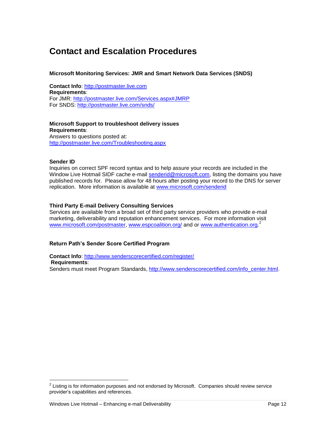# <span id="page-11-0"></span>**Contact and Escalation Procedures**

#### **Microsoft Monitoring Services: JMR and Smart Network Data Services (SNDS)**

**Contact Info**: [http://postmaster.live.com](http://postmaster.live.com/) **Requirements**: For JMR: [http://postmaster.live.com/Services.aspx#JMRP](http://postmaster.msn.com/Services.aspx#JMRPP) For SNDS: [http://postmaster.live.com/snds/](http://postmaster.msn.com/snds/)

**Microsoft Support to troubleshoot delivery issues Requirements**: Answers to questions posted at:

[http://postmaster.live.com/Troubleshooting.aspx](http://postmaster.msn.com/Troubleshooting.aspx)

#### **Sender ID**

Inquiries on correct SPF record syntax and to help assure your records are included in the Window Live Hotmail SIDF cache e-mail [senderid@microsoft.com,](mailto:senderid@microsoft.com) listing the domains you have published records for. Please allow for 48 hours after posting your record to the DNS for server replication. More information is available at [www.microsoft.com/senderid](http://www.microsoft.com/senderid)

#### **Third Party E-mail Delivery Consulting Services**

Services are available from a broad set of third party service providers who provide e-mail marketing, deliverability and reputation enhancement services. For more information visit [www.microsoft.com/postmaster,](http://www.microsoft.com/postmaster) [www.espcoalition.org/](http://www.espcoalition.org/) and or [www.authentication.org.](http://www.authentication.org/)<sup>2</sup>

#### **Return Path's Sender Score Certified Program**

**Contact Info**:<http://www.senderscorecertified.com/register/> **Requirements**: Senders must meet Program Standards, [http://www.senderscorecertified.com/info\\_center.html.](http://www.senderscorecertified.com/info_center.html)

<sup>&</sup>lt;u>2</u><br><sup>2</sup> Listing is for information purposes and not endorsed by Microsoft. Companies should review service provider"s capabilities and references.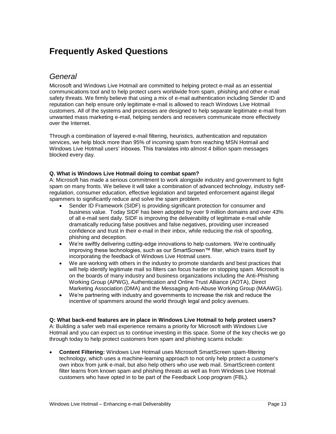# <span id="page-12-0"></span>**Frequently Asked Questions**

# <span id="page-12-1"></span>*General*

Microsoft and Windows Live Hotmail are committed to helping protect e-mail as an essential communications tool and to help protect users worldwide from spam, phishing and other e-mail safety threats. We firmly believe that using a mix of e-mail authentication including Sender ID and reputation can help ensure only legitimate e-mail is allowed to reach Windows Live Hotmail customers. All of the systems and processes are designed to help separate legitimate e-mail from unwanted mass marketing e-mail, helping senders and receivers communicate more effectively over the Internet.

Through a combination of layered e-mail filtering, heuristics, authentication and reputation services, we help block more than 95% of incoming spam from reaching MSN Hotmail and Windows Live Hotmail users" inboxes. This translates into almost 4 billion spam messages blocked every day.

#### **Q. What is Windows Live Hotmail doing to combat spam?**

A: Microsoft has made a serious commitment to work alongside industry and government to fight spam on many fronts. We believe it will take a combination of advanced technology, industry selfregulation, consumer education, effective legislation and targeted enforcement against illegal spammers to significantly reduce and solve the spam problem.

- Sender ID Framework (SIDF) is providing significant protection for consumer and business value. Today SIDF has been adopted by over 9 million domains and over 43% of all e-mail sent daily. SIDF is improving the deliverability of legitimate e-mail while dramatically reducing false positives and false negatives, providing user increased confidence and trust in their e-mail in their inbox, while reducing the risk of spoofing, phishing and deception.
- We"re swiftly delivering cutting-edge innovations to help customers. We"re continually improving these technologies, such as our SmartScreen™ filter, which trains itself by incorporating the feedback of Windows Live Hotmail users.
- We are working with others in the industry to promote standards and best practices that will help identify legitimate mail so filters can focus harder on stopping spam. Microsoft is on the boards of many industry and business organizations including the Anti-Phishing Working Group (APWG), Authentication and Online Trust Alliance (AOTA), Direct Marketing Association (DMA) and the Messaging Anti-Abuse Working Group (MAAWG).
- We"re partnering with industry and governments to increase the risk and reduce the incentive of spammers around the world through legal and policy avenues.

#### **Q: What back-end features are in place in Windows Live Hotmail to help protect users?**

A: Building a safer web mail experience remains a priority for Microsoft with Windows Live Hotmail and you can expect us to continue investing in this space. Some of the key checks we go through today to help protect customers from spam and phishing scams include:

 **Content Filtering:** Windows Live Hotmail uses Microsoft SmartScreen spam-filtering technology, which uses a machine-learning approach to not only help protect a customer's own inbox from junk e-mail, but also help others who use web mail. SmartScreen content filter learns from known spam and phishing threats as well as from Windows Live Hotmail customers who have opted in to be part of the Feedback Loop program (FBL).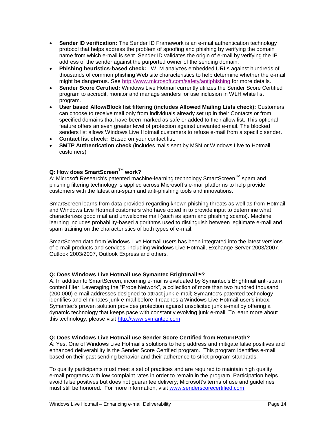- **Sender ID verification:** The Sender ID Framework is an e-mail authentication technology protocol that helps address the problem of spoofing and phishing by verifying the domain name from which e-mail is sent. Sender ID validates the origin of e-mail by verifying the IP address of the sender against the purported owner of the sending domain.
- **Phishing heuristics-based check:** WLM analyzes embedded URLs against hundreds of thousands of common phishing Web site characteristics to help determine whether the e-mail might be dangerous. See<http://www.microsoft.com/safety/antiphishing> for more details.
- **Sender Score Certified:** Windows Live Hotmail currently utilizes the Sender Score Certified program to accredit, monitor and manage senders for use inclusion in WLH white list program.
- **User based Allow/Block list filtering (includes Allowed Mailing Lists check):** Customers can choose to receive mail only from individuals already set up in their Contacts or from specified domains that have been marked as safe or added to their allow list. This optional feature offers an even greater level of protection against unwanted e-mail. The blocked senders list allows Windows Live Hotmail customers to refuse e-mail from a specific sender.
- **Contact list check:** Based on your contact list.
- **SMTP Authentication check** (includes mails sent by MSN or Windows Live to Hotmail customers)

#### **Q: How does SmartScreen™ work?**

A: Microsoft Research's patented machine-learning technology SmartScreen™ spam and phishing filtering technology is applied across Microsoft"s e-mail platforms to help provide customers with the latest anti-spam and anti-phishing tools and innovations.

SmartScreen learns from data provided regarding known phishing threats as well as from Hotmail and Windows Live Hotmail customers who have opted in to provide input to determine what characterizes good mail and unwelcome mail (such as spam and phishing scams). Machine learning includes probability-based algorithms used to distinguish between legitimate e-mail and spam training on the characteristics of both types of e-mail.

SmartScreen data from Windows Live Hotmail users has been integrated into the latest versions of e-mail products and services, including Windows Live Hotmail, Exchange Server 2003/2007, Outlook 2003/2007, Outlook Express and others.

#### **Q: Does Windows Live Hotmail use Symantec Brightmail?**

A: In addition to SmartScreen, incoming e-mail is evaluated by Symantec"s Brightmail anti-spam content filter. Leveraging the "Probe Network", a collection of more than two hundred thousand (200,000) e-mail addresses designed to attract junk e-mail; Symantec's patented technology identifies and eliminates junk e-mail before it reaches a Windows Live Hotmail user"s inbox. Symantec's proven solution provides protection against unsolicited junk e-mail by offering a dynamic technology that keeps pace with constantly evolving junk e-mail. To learn more about this technology, please visit [http://www.symantec.com.](http://www.symantec.com/)

#### **Q: Does Windows Live Hotmail use Sender Score Certified from ReturnPath?**

A: Yes, One of Windows Live Hotmail"s solutions to help address and mitigate false positives and enhanced deliverability is the Sender Score Certified program. This program identifies e-mail based on their past sending behavior and their adherence to strict program standards.

To qualify participants must meet a set of practices and are required to maintain high quality e-mail programs with low complaint rates in order to remain in the program. Participation helps avoid false positives but does not quarantee delivery; Microsoft's terms of use and quidelines must still be honored. For more information, visit [www.senderscorecertified.com.](http://www.senderscorecertified.com/)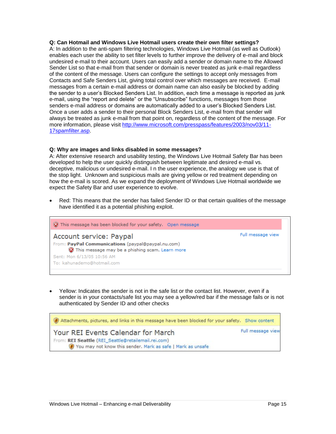#### **Q: Can Hotmail and Windows Live Hotmail users create their own filter settings?**

A: In addition to the anti-spam filtering technologies, Windows Live Hotmail (as well as Outlook) enables each user the ability to set filter levels to further improve the delivery of e-mail and block undesired e-mail to their account. Users can easily add a sender or domain name to the Allowed Sender List so that e-mail from that sender or domain is never treated as junk e-mail regardless of the content of the message. Users can configure the settings to accept only messages from Contacts and Safe Senders List, giving total control over which messages are received. E-mail messages from a certain e-mail address or domain name can also easily be blocked by adding the sender to a user"s Blocked Senders List. In addition, each time a message is reported as junk e-mail, using the "report and delete" or the "Unsubscribe" functions, messages from those senders e-mail address or domains are automatically added to a user"s Blocked Senders List. Once a user adds a sender to their personal Block Senders List, e-mail from that sender will always be treated as junk e-mail from that point on, regardless of the content of the message. For more information, please visit [http://www.microsoft.com/presspass/features/2003/nov03/11-](http://www.microsoft.com/presspass/features/2003/nov03/11-17spamfilter.asp) [17spamfilter.asp.](http://www.microsoft.com/presspass/features/2003/nov03/11-17spamfilter.asp)

#### **Q: Why are images and links disabled in some messages?**

A: After extensive research and usability testing, the Windows Live Hotmail Safety Bar has been developed to help the user quickly distinguish between legitimate and desired e-mail vs. deceptive, malicious or undesired e-mail. I n the user experience, the analogy we use is that of the stop light. Unknown and suspicious mails are giving yellow or red treatment depending on how the e-mail is scored. As we expand the deployment of Windows Live Hotmail worldwide we expect the Safety Bar and user experience to evolve.

 Red: This means that the sender has failed Sender ID or that certain qualities of the message have identified it as a potential phishing exploit.

| This message has been blocked for your safety. Open message                                                                      |                   |
|----------------------------------------------------------------------------------------------------------------------------------|-------------------|
| Account service: Paypal<br>From: PayPal Communications (paypal@paypal.nu.com)<br>This message may be a phishing scam. Learn more | Full message view |
| Sent: Mon 6/13/05 10:56 AM<br>To: kahunademo@hotmail.com                                                                         |                   |

 Yellow: Indicates the sender is not in the safe list or the contact list. However, even if a sender is in your contacts/safe list you may see a yellow/red bar if the message fails or is not authenticated by Sender ID and other checks

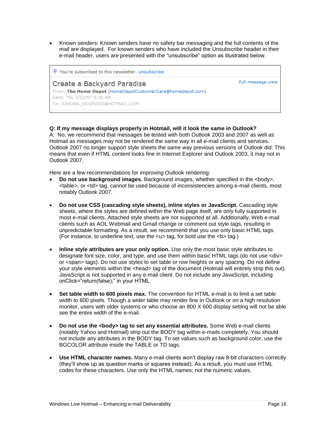Known senders: Known senders have no safety bar messaging and the full contents of the mail are displayed. For known senders who have included the Unsubscribe header in their e-mail header, users are presented with the "unsubscribe" option as illustrated below.

| You're subscribed to this newsletter. Unsubscribe          |                   |
|------------------------------------------------------------|-------------------|
| Create a Backyard Paradise                                 | Full message view |
| From: The Home Depot (HomeDepotCustomerCare@homedepot.com) |                   |
| Sent: Thu 3/22/07 9:30 AM                                  |                   |
| To: KAHUNA DOGFOOD@HOTMAIL.COM                             |                   |

#### **Q: If my message displays properly in Hotmail, will it look the same in Outlook?**

A: No, we recommend that messages be tested with both Outlook 2003 and 2007 as well as Hotmail as messages may not be rendered the same way in all e-mail clients and services. Outlook 2007 no longer support style sheets the same way previous versions of Outlook did. This means that even if HTML content looks fine in Internet Explorer and Outlook 2003, it may not in Outlook 2007.

Here are a few recommendations for improving Outlook rendering:

- **Do not use background images.** Background images, whether specified in the <body>, <table>, or <td> tag, cannot be used because of inconsistencies among e-mail clients, most notably Outlook 2007.
- **Do not use CSS (cascading style sheets), inline styles or JavaScript.** Cascading style sheets, where the styles are defined within the Web page itself, are only fully supported in most e-mail clients. Attached style sheets are not supported at all. Additionally, Web e-mail clients such as AOL Webmail and Gmail change or comment out style tags, resulting in unpredictable formatting. As a result, we recommend that you use only basic HTML tags. (For instance, to underline text, use the  $\langle u \rangle$  tag, for bold use the  $\langle v \rangle$  tag.)
- **Inline style attributes are your only option.** Use only the most basic style attributes to designate font size, color, and type, and use them within basic HTML tags (do not use <div> or <span> tags). Do not use styles to set table or row heights or any spacing. Do not define your style elements within the <head> tag of the document (Hotmail will entirely strip this out). JavaScript is not supported in any e-mail client. Do not include any JavaScript, including onClick="return(false);" in your HTML.
- **Set table width to 600 pixels max.** The convention for HTML e-mail is to limit a set table width to 600 pixels. Though a wider table may render fine in Outlook or on a high resolution monitor, users with older systems or who choose an 800 X 600 display setting will not be able see the entire width of the e-mail.
- **Do not use the <body> tag to set any essential attributes.** Some Web e-mail clients (notably Yahoo and Hotmail) strip out the BODY tag within e-mails completely. You should not include any attributes in the BODY tag. To set values such as background color, use the BGCOLOR attribute inside the TABLE or TD tags.
- **Use HTML character names.** Many e-mail clients won"t display raw 8-bit characters correctly (they"ll show up as question marks or squares instead). As a result, you must use HTML codes for these characters. Use only the HTML names, not the numeric values.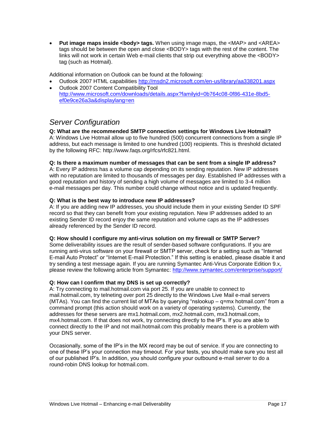• Put image maps inside <body> tags. When using image maps, the <MAP> and <AREA> tags should be between the open and close <BODY> tags with the rest of the content. The links will not work in certain Web e-mail clients that strip out everything above the <BODY> tag (such as Hotmail).

Additional information on Outlook can be found at the following:

- Outlook 2007 HTML capabilities<http://msdn2.microsoft.com/en-us/library/aa338201.aspx>
- Outlook 2007 Content Compatibility Tool [http://www.microsoft.com/downloads/details.aspx?familyid=0b764c08-0f86-431e-8bd5](http://www.microsoft.com/downloads/details.aspx?familyid=0b764c08-0f86-431e-8bd5-ef0e9ce26a3a&displaylang=en) [ef0e9ce26a3a&displaylang=en](http://www.microsoft.com/downloads/details.aspx?familyid=0b764c08-0f86-431e-8bd5-ef0e9ce26a3a&displaylang=en)

### <span id="page-16-0"></span>*Server Configuration*

#### **Q: What are the recommended SMTP connection settings for Windows Live Hotmail?**

A: Windows Live Hotmail allow up to five hundred (500) concurrent connections from a single IP address, but each message is limited to one hundred (100) recipients. This is threshold dictated by the following RFC: http://www.faqs.org/rfcs/rfc821.html.

#### **Q: Is there a maximum number of messages that can be sent from a single IP address?**

A: Every IP address has a volume cap depending on its sending reputation. New IP addresses with no reputation are limited to thousands of messages per day. Established IP addresses with a good reputation and history of sending a high volume of messages are limited to 3-4 million e-mail messages per day. This number could change without notice and is updated frequently.

#### **Q: What is the best way to introduce new IP addresses?**

A: If you are adding new IP addresses, you should include them in your existing Sender ID SPF record so that they can benefit from your existing reputation. New IP addresses added to an existing Sender ID record enjoy the same reputation and volume caps as the IP addresses already referenced by the Sender ID record.

#### **Q: How should I configure my anti-virus solution on my firewall or SMTP Server?**

Some deliverability issues are the result of sender-based software configurations. If you are running anti-virus software on your firewall or SMTP server, check for a setting such as "Internet E-mail Auto Protect" or "Internet E-mail Protection." If this setting is enabled, please disable it and try sending a test message again. If you are running Symantec Anti-Virus Corporate Edition 9.x, please review the following article from Symantec:<http://www.symantec.com/enterprise/support/>

#### **Q: How can I confirm that my DNS is set up correctly?**

A: Try connecting to mail.hotmail.com via port 25. If you are unable to connect to mail.hotmail.com, try telneting over port 25 directly to the Windows Live Mail e-mail servers (MTAs). You can find the current list of MTAs by querying "nslookup – q=mx hotmail.com" from a command prompt (this action should work on a variety of operating systems). Currently, the addresses for these servers are mx1.hotmail.com, mx2.hotmail.com, mx3.hotmail.com, mx4.hotmail.com. If that does not work, try connecting directly to the IP"s. If you are able to connect directly to the IP and not mail.hotmail.com this probably means there is a problem with your DNS server.

Occasionally, some of the IP"s in the MX record may be out of service. If you are connecting to one of these IP"s your connection may timeout. For your tests, you should make sure you test all of our published IP"s. In addition, you should configure your outbound e-mail server to do a round-robin DNS lookup for hotmail.com.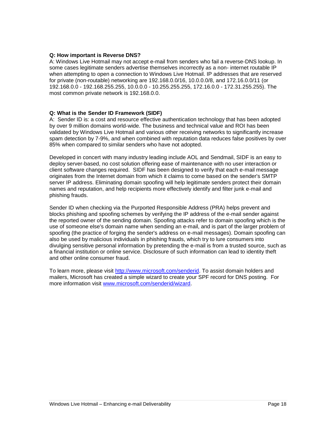#### **Q: How important is Reverse DNS?**

A: Windows Live Hotmail may not accept e-mail from senders who fail a reverse-DNS lookup. In some cases legitimate senders advertise themselves incorrectly as a non- internet routable IP when attempting to open a connection to Windows Live Hotmail. IP addresses that are reserved for private (non-routable) networking are 192.168.0.0/16, 10.0.0.0/8, and 172.16.0.0/11 (or 192.168.0.0 - 192.168.255.255, 10.0.0.0 - 10.255.255.255, 172.16.0.0 - 172.31.255.255). The most common private network is 192.168.0.0.

#### **Q: What is the Sender ID Framework (SIDF)**

A: Sender ID is: a cost and resource effective authentication technology that has been adopted by over 9 million domains world-wide. The business and technical value and ROI has been validated by Windows Live Hotmail and various other receiving networks to significantly increase spam detection by 7-9%, and when combined with reputation data reduces false positives by over 85% when compared to similar senders who have not adopted.

Developed in concert with many industry leading include AOL and Sendmail, SIDF is an easy to deploy server-based, no cost solution offering ease of maintenance with no user interaction or client software changes required. SIDF has been designed to verify that each e-mail message originates from the Internet domain from which it claims to come based on the sender's SMTP server IP address. Eliminating domain spoofing will help legitimate senders protect their domain names and reputation, and help recipients more effectively identify and filter junk e-mail and phishing frauds.

Sender ID when checking via the Purported Responsible Address (PRA) helps prevent and blocks phishing and spoofing schemes by verifying the IP address of the e-mail sender against the reported owner of the sending domain. Spoofing attacks refer to domain spoofing which is the use of someone else's domain name when sending an e-mail, and is part of the larger problem of spoofing (the practice of forging the sender's address on e-mail messages). Domain spoofing can also be used by malicious individuals in phishing frauds, which try to lure consumers into divulging sensitive personal information by pretending the e-mail is from a trusted source, such as a financial institution or online service. Disclosure of such information can lead to identity theft and other online consumer fraud.

To learn more, please visit [http://www.microsoft.com/senderid.](http://www.microsoft.com/senderid) To assist domain holders and mailers, Microsoft has created a simple wizard to create your SPF record for DNS posting. For more information visit [www.microsoft.com/senderid/wizard.](http://www.microsoft.com/senderid/wizard)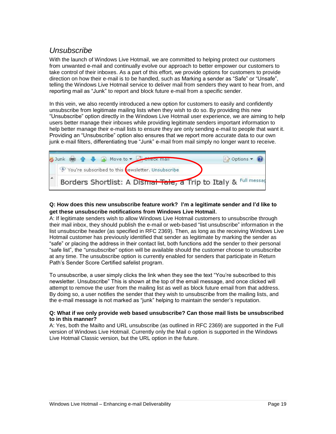# <span id="page-18-0"></span>*Unsubscribe*

With the launch of Windows Live Hotmail, we are committed to helping protect our customers from unwanted e-mail and continually evolve our approach to better empower our customers to take control of their inboxes. As a part of this effort, we provide options for customers to provide direction on how their e-mail is to be handled, such as Marking a sender as "Safe" or "Unsafe", telling the Windows Live Hotmail service to deliver mail from senders they want to hear from, and reporting mail as "Junk" to report and block future e-mail from a specific sender.

In this vein, we also recently introduced a new option for customers to easily and confidently unsubscribe from legitimate mailing lists when they wish to do so. By providing this new "Unsubscribe" option directly in the Windows Live Hotmail user experience, we are aiming to help users better manage their inboxes while providing legitimate senders important information to help better manage their e-mail lists to ensure they are only sending e-mail to people that want it. Providing an "Unsubscribe" option also ensures that we report more accurate data to our own junk e-mail filters, differentiating true "Junk" e-mail from mail simply no longer want to receive.



#### **Q: How does this new unsubscribe feature work? I'm a legitimate sender and I'd like to get these unsubscribe notifications from Windows Live Hotmail**.

A: If legitimate senders wish to allow Windows Live Hotmail customers to unsubscribe through their mail inbox, they should publish the e-mail or web-based "list unsubscribe" information in the list unsubscribe header (as specified in RFC 2369). Then, as long as the receiving Windows Live Hotmail customer has previously identified that sender as legitimate by marking the sender as "safe" or placing the address in their contact list, both functions add the sender to their personal "safe list", the "unsubscribe" option will be available should the customer choose to unsubscribe at any time. The unsubscribe option is currently enabled for senders that participate in Return Path"s Sender Score Certified safelist program.

To unsubscribe, a user simply clicks the link when they see the text "You"re subscribed to this newsletter. Unsubscribe" This is shown at the top of the email message, and once clicked will attempt to remove the user from the mailing list as well as block future email from that address. By doing so, a user notifies the sender that they wish to unsubscribe from the mailing lists, and the e-mail message is not marked as "junk" helping to maintain the sender"s reputation.

#### **Q: What if we only provide web based unsubscribe? Can those mail lists be unsubscribed to in this manner?**

A: Yes, both the Mailto and URL unsubscribe (as outlined in RFC 2369) are supported in the Full version of Windows Live Hotmail. Currently only the Mail o option is supported in the Windows Live Hotmail Classic version, but the URL option in the future.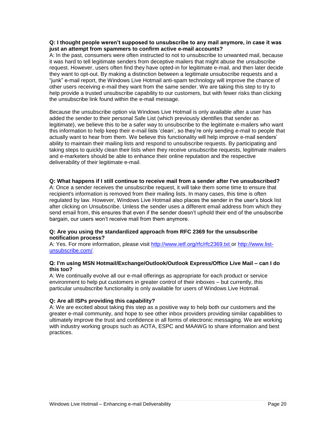#### **Q: I thought people weren't supposed to unsubscribe to any mail anymore, in case it was just an attempt from spammers to confirm active e-mail accounts?**

A: In the past, consumers were often instructed to not to unsubscribe to unwanted mail, because it was hard to tell legitimate senders from deceptive mailers that might abuse the unsubscribe request. However, users often find they have opted-in for legitimate e-mail, and then later decide they want to opt-out. By making a distinction between a legitimate unsubscribe requests and a "junk" e-mail report, the Windows Live Hotmail anti-spam technology will improve the chance of other users receiving e-mail they want from the same sender. We are taking this step to try to help provide a trusted unsubscribe capability to our customers, but with fewer risks than clicking the unsubscribe link found within the e-mail message.

Because the unsubscribe option via Windows Live Hotmail is only available after a user has added the sender to their personal Safe List (which previously identifies that sender as legitimate), we believe this to be a safer way to unsubscribe to the legitimate e-mailers who want this information to help keep their e-mail lists "clean", so they"re only sending e-mail to people that actually want to hear from them. We believe this functionality will help improve e-mail senders" ability to maintain their mailing lists and respond to unsubscribe requests. By participating and taking steps to quickly clean their lists when they receive unsubscribe requests, legitimate mailers and e-marketers should be able to enhance their online reputation and the respective deliverability of their legitimate e-mail.

#### **Q: What happens if I still continue to receive mail from a sender after I've unsubscribed?**

A: Once a sender receives the unsubscribe request, it will take them some time to ensure that recipient's information is removed from their mailing lists. In many cases, this time is often regulated by law. However, Windows Live Hotmail also places the sender in the user"s block list after clicking on Unsubscribe. Unless the sender uses a different email address from which they send email from, this ensures that even if the sender doesn"t uphold their end of the unsubscribe bargain, our users won't receive mail from them anymore.

#### **Q: Are you using the standardized approach from RFC 2369 for the unsubscribe notification process?**

A: Yes. For more information, please visit<http://www.ietf.org/rfc/rfc2369.txt> or [http://www.list](http://www.list-unsubscribe.com/)[unsubscribe.com/](http://www.list-unsubscribe.com/).

#### **Q: I'm using MSN Hotmail/Exchange/Outlook/Outlook Express/Office Live Mail – can I do this too?**

A: We continually evolve all our e-mail offerings as appropriate for each product or service environment to help put customers in greater control of their inboxes – but currently, this particular unsubscribe functionality is only available for users of Windows Live Hotmail.

#### **Q: Are all ISPs providing this capability?**

A: We are excited about taking this step as a positive way to help both our customers and the greater e-mail community, and hope to see other inbox providers providing similar capabilities to ultimately improve the trust and confidence in all forms of electronic messaging. We are working with industry working groups such as AOTA, ESPC and MAAWG to share information and best practices.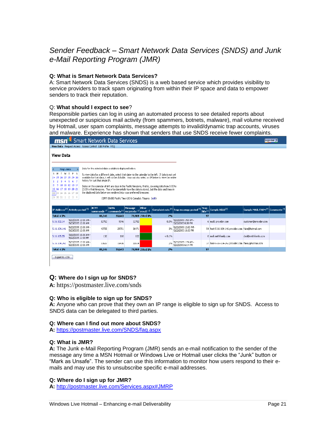# <span id="page-20-0"></span>*Sender Feedback – Smart Network Data Services (SNDS) and Junk e-Mail Reporting Program (JMR)*

#### **Q: What is Smart Network Data Services?**

A: Smart Network Data Services (SNDS) is a web based service which provides visibility to service providers to track spam originating from within their IP space and data to empower senders to track their reputation.

#### Q: **What should I expect to see**?

Responsible parties can log in using an automated process to see detailed reports about unexpected or suspicious mail activity (from spammers, botnets, malware), mail volume received by Hotmail, user spam complaints, message attempts to invalid/dynamic trap accounts, viruses and malware. Experience has shown that senders that use SNDS receive fewer complaints.

| Smart Network Data Services<br>ms                                                                                                                                                                                                                                                                   |                                                                                                                                                                                                                                                                                                                                                     |                                                          |                                                             |         |                  |           | Sign Out 5                                                                          |    |                                                       |                                   |  |
|-----------------------------------------------------------------------------------------------------------------------------------------------------------------------------------------------------------------------------------------------------------------------------------------------------|-----------------------------------------------------------------------------------------------------------------------------------------------------------------------------------------------------------------------------------------------------------------------------------------------------------------------------------------------------|----------------------------------------------------------|-------------------------------------------------------------|---------|------------------|-----------|-------------------------------------------------------------------------------------|----|-------------------------------------------------------|-----------------------------------|--|
| View Data Request Access Access Control Edit Profile FAO                                                                                                                                                                                                                                            |                                                                                                                                                                                                                                                                                                                                                     |                                                          |                                                             |         |                  |           |                                                                                     |    |                                                       |                                   |  |
| <b>View Data</b>                                                                                                                                                                                                                                                                                    |                                                                                                                                                                                                                                                                                                                                                     |                                                          |                                                             |         |                  |           |                                                                                     |    |                                                       |                                   |  |
| <b>May 2005</b>                                                                                                                                                                                                                                                                                     |                                                                                                                                                                                                                                                                                                                                                     | Data for the selected date available is displayed below. |                                                             |         |                  |           |                                                                                     |    |                                                       |                                   |  |
| SMTWTFS<br>To view data for a different date, select that date via the calendar to the left. If data is not vet<br>available for that date, it will not be clickable. You may also select an IP below to view the entire<br>24 25 26 27 28 29 30<br>history for just that single IP.<br>2 3 4 5 6 7 |                                                                                                                                                                                                                                                                                                                                                     |                                                          |                                                             |         |                  |           |                                                                                     |    |                                                       |                                   |  |
|                                                                                                                                                                                                                                                                                                     | 8 9 10 11 12 13 14<br>Dates on the calendar at left are days in the Pacific timezone, that is, covering data from 0:00 to<br>15 16 17 18 19 20 21<br>23:59 in that timezone. This is fundamentally how the data is stored, but the date and times in<br>the displayed data below are rendered into your preferred timezone:<br>22 23 24 25 26 27 28 |                                                          |                                                             |         |                  |           |                                                                                     |    |                                                       |                                   |  |
| 29 30 31 1 2 3 4<br>(GMT-08:00) Pacific Time (US & Canada); Tijuana (edit)                                                                                                                                                                                                                          |                                                                                                                                                                                                                                                                                                                                                     |                                                          |                                                             |         |                  |           |                                                                                     |    |                                                       |                                   |  |
| IP Address <sup>[2]</sup> Activity period <sup>[2]</sup>                                                                                                                                                                                                                                            |                                                                                                                                                                                                                                                                                                                                                     | <b>RCPT</b>                                              | DATA<br>commands [7] commands [7] recipients [7] result [7] | Message | Filter           |           | Complaint rate $^{[2]}$ Trap message period $^{[2]}$ Trap $_1$ Sample HELO $^{[2]}$ |    |                                                       | Sample MAIL FROM [?] Comments [?] |  |
| <b>Total: 4 IPs</b>                                                                                                                                                                                                                                                                                 |                                                                                                                                                                                                                                                                                                                                                     | 88,246                                                   | 55.643                                                      |         | 79,969 2 Red IPs | 2%        |                                                                                     | 97 |                                                       |                                   |  |
| 5.16.102.14                                                                                                                                                                                                                                                                                         | 5/22/2005 12:00 AM -<br>5/23/2005 12:00 AM                                                                                                                                                                                                                                                                                                          | 12752                                                    | 9346                                                        | 12752   |                  | 0.3%      | 5/22/2005 1:53 AM -<br>5/22/2005 8:38 PM                                            |    | 6 mail3.provider.com                                  | customer@provider.com             |  |
| 5.16.104.146                                                                                                                                                                                                                                                                                        | 5/22/2005 12:00 AM -<br>5/23/2005 12:00 AM                                                                                                                                                                                                                                                                                                          | 43725                                                    | 29751                                                       | 36471   |                  | 3%        | 5/22/2005 12:02 AM -<br>5/22/2005 10:33 PM                                          |    | 54 host-5-16-104-146.provider.com rake@hotmail.com    |                                   |  |
| 5.16.105.55                                                                                                                                                                                                                                                                                         | 5/22/2005 10:00 AM -<br>5/22/2005 11:00 PM                                                                                                                                                                                                                                                                                                          | 132                                                      | 110                                                         | 132     |                  | $< 0.1\%$ |                                                                                     |    | 0 mail.smithfamily.com                                | dad@smithfamily.com               |  |
| 5.16.134.242                                                                                                                                                                                                                                                                                        | 5/22/2005 12:00 AM -<br>5/23/2005 12:00 AM                                                                                                                                                                                                                                                                                                          | 31637                                                    | 16436                                                       | 30614   |                  | 2%        | 5/22/2005 1:29 AM -<br>5/22/2005 6:14 PM                                            |    | 37 host-5-16-134-242.provider.com   fake2@hotmail.com |                                   |  |
| <b>Total: 4 IPs</b>                                                                                                                                                                                                                                                                                 |                                                                                                                                                                                                                                                                                                                                                     | 88,246                                                   | 55.643                                                      |         | 79,969 2 Red IPs | 2%        |                                                                                     | 97 |                                                       |                                   |  |
| Export to .CSV                                                                                                                                                                                                                                                                                      |                                                                                                                                                                                                                                                                                                                                                     |                                                          |                                                             |         |                  |           |                                                                                     |    |                                                       |                                   |  |

#### **Q: Where do I sign up for SNDS?**

**A:** https://postmaster.live.com/snds

#### **Q: Who is eligible to sign up for SNDS?**

**A:** Anyone who can prove that they own an IP range is eligible to sign up for SNDS. Access to SNDS data can be delegated to third parties.

#### **Q: Where can I find out more about SNDS?**

**A:** <https://postmaster.live.com/SNDS/faq.aspx>

#### **Q: What is JMR?**

**A:** The Junk e-Mail Reporting Program (JMR) sends an e-mail notification to the sender of the message any time a MSN Hotmail or Windows Live or Hotmail user clicks the "Junk" button or "Mark as Unsafe". The sender can use this information to monitor how users respond to their emails and may use this to unsubscribe specific e-mail addresses.

#### **Q: Where do I sign up for JMR?**

**A:** [http://postmaster.live.com/Services.aspx#JMRP](http://postmaster.live.com/Services.aspx#JMRPP)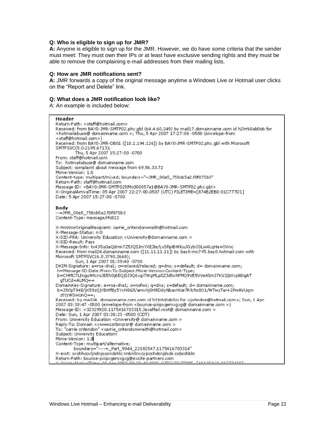#### **Q: Who is eligible to sign up for JMR?**

**A:** Anyone is eligible to sign up for the JMR. However, we do have some criteria that the sender must meet: They must own their IPs or at least have exclusive sending rights and they must be able to remove the complaining e-mail addresses from their mailing lists.

#### **Q: How are JMR notifications sent?**

**A:** JMR forwards a copy of the original message anytime a Windows Live or Hotmail user clicks on the "Report and Delete" link.

#### **Q: What does a JMR notification look like?**

A: An example is included below:

**Header** Return-Path: < staff@hotmail.com> Received: from BAY0-JMR-SMTP02.phx.gbl (64.4.60.249) by mail17.domainname.com id h2lmk0ab0ob for <hotmailabuse@ domainname.com >; Thu, 5 Apr 2007 17:27:06 -0500 (envelope-from <staff@hotmail.com>) Received: from BAY0-JMR-DB01 ([10.1.194.126]) by BAY0-JMR-SMTP02.phx.qbl with Microsoft SMTPSVC(5.0.2195.6713); Thu, 5 Apr 2007 15:27:00 -0700 From: staff@hotmail.com To: hotmailabuse@ domainname.com Subject: complaint about message from 69.56.33.72 Mime-Version: 1.0 Content-type: multipart/mixed; boundary="=JMR\_00a5\_758db5a2.f0f875b3" Return-Path: staff@hotmail.com Message-ID: <BAY0-JMR-SMTP02ItMc000057a1@BAY0-JMR-SMTP02.phx.gbl> X-OriginalArrivalTime: 05 Apr 2007 22:27:00.0507 (UTC) FILETIME=[874B2EB0:01C777D1] Date: 5 Apr 2007 15:27:00 -0700 **Body** --= JMR 00a5 758cb5a2.f0f875b3 Content-Type: message/rfc822 X-HmXmrOriginalRecipient: carrie\_critendonwraith@hotmail.com X-Message-Status: n:0 X-SID-PRA: University Education <University@domainname.com > X-SID-Result: Pass X-Message-Info: tx435uGaQdmn7Z5JQSJmYXEJIe/LvSfipiBWlcuJGybO3Lw4LqHa+OVnc-Received: from mail24.domainname.com ([11.11.11.11]) by bay0-mc7-f5.bay0.hotmail.com with Microsoft SMTPSVC(6.0.3790.2668); Sun, 1 Apr 2007 01:39:40 -0700 DKIM-Signature: a=rsa-sha1; c=relaxed/relaxed; q=dns; s=default; d= domainname.com; h=Message-ID:Date:From:To:Subject:Mime-Version:Content-Type; b=CHMC7LInguWtxru3IfIh0j6EQjSJ3Q6xgi7WgMLpSZJdhxhPMQ9VE5VVe4SmJ7KV2jbXxjA8igAT qTUCd+ALMQ== DomainKey-Signature: a=rsa-sha1; c=nofws; q=dns; s=default; d= domainname.com; b=JJVIpT94E/jX59zQjYBHFBy5YxH86Jl/amvXj0HRDdyNbavHUe7R9/to001/WTwzTar+2PwAVUqm ztYzWSwUnQ==; Received: by mail24, domainname.com.com id h1tntc0ab0oi for <johndoe@hotmail.com>; Sun, 1 Apr 2007 03:38:47 -0500 (envelope-from <bounce-piiipxgemxgxg@ domainname.com >) Message-ID: <32329920.1175416703315.JavaMail.root@ domainname.com > Date: Sun, 1 Apr 2007 03:38:23 -0500 (CDT) From: University Education <University@ domainname.com > Reply-To: Domain <xwwwczrbmzrzr@ domainname.com > To: "carrie critendon" < carrie\_critendonwraith@hotmail.com ><br>Subject: University Education! Mime-Version: 1.0 Content-Type: multipart/alternative; boundary=" ----= Part 9044 22182547.1175416703314" X-exct: sxohhocxljndnjooondshic nnbnilnxcyjcochdsnjdsds cobschbln. Return-Path: bounce-piiipxgemxgxg@excite-partners.com 00-00-40 0006 (UTC) EU ETIME EXAMPLAG-010774001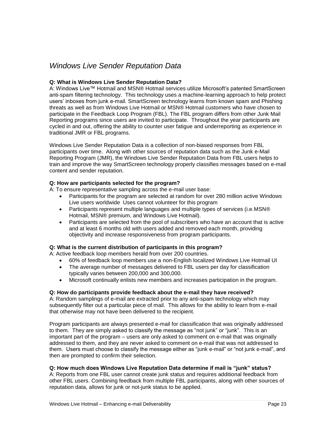### <span id="page-22-0"></span>*Windows Live Sender Reputation Data*

#### **Q: What is Windows Live Sender Reputation Data?**

A: Windows Live™ Hotmail and MSN® Hotmail services utilize Microsoft"s patented SmartScreen anti-spam filtering technology. This technology uses a machine-learning approach to help protect users" inboxes from junk e-mail. SmartScreen technology learns from known spam and Phishing threats as well as from Windows Live Hotmail or MSN® Hotmail customers who have chosen to participate in the Feedback Loop Program (FBL). The FBL program differs from other Junk Mail Reporting programs since users are invited to participate. Throughout the year participants are cycled in and out, offering the ability to counter user fatigue and underreporting as experience in traditional JMR or FBL programs.

Windows Live Sender Reputation Data is a collection of non-biased responses from FBL participants over time. Along with other sources of reputation data such as the Junk e-Mail Reporting Program (JMR), the Windows Live Sender Reputation Data from FBL users helps to train and improve the way SmartScreen technology properly classifies messages based on e-mail content and sender reputation.

#### **Q: How are participants selected for the program?**

A: To ensure representative sampling across the e-mail user base:

- Participants for the program are selected at random for over 280 million active Windows Live users worldwide Uses cannot volunteer for this program
- Participants represent multiple languages and multiple types of services (i.e.MSN® Hotmail, MSN® premium, and Windows Live Hotmail).
- Participants are selected from the pool of subscribers who have an account that is active and at least 6 months old with users added and removed each month, providing objectivity and increase responsiveness from program participants.

#### **Q: What is the current distribution of participants in this program?**

A: Active feedback loop members herald from over 200 countries.

- 60% of feedback loop members use a non-English localized Windows Live Hotmail UI
- The average number of messages delivered to FBL users per day for classification typically varies between 200,000 and 300,000.
- Microsoft continually enlists new members and increases participation in the program.

#### **Q: How do participants provide feedback about the e-mail they have received?**

A: Random samplings of e-mail are extracted prior to any anti-spam technology which may subsequently filter out a particular piece of mail. This allows for the ability to learn from e-mail that otherwise may not have been delivered to the recipient.

Program participants are always presented e-mail for classification that was originally addressed to them. They are simply asked to classify the message as "not junk" or "junk". This is an important part of the program – users are only asked to comment on e-mail that was originally addressed to them, and they are never asked to comment on e-mail that was not addressed to them. Users must choose to classify the message either as "junk e-mail" or "not junk e-mail", and then are prompted to confirm their selection.

#### **Q: How much does Windows Live Reputation Data determine if mail is "junk" status?**

A: Reports from one FBL user cannot create junk status and requires additional feedback from other FBL users. Combining feedback from multiple FBL participants, along with other sources of reputation data, allows for junk or not-junk status to be applied.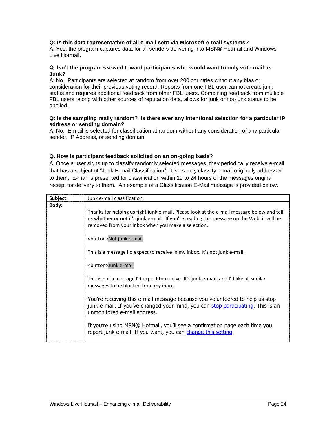#### **Q: Is this data representative of all e-mail sent via Microsoft e-mail systems?**

A: Yes, the program captures data for all senders delivering into MSN® Hotmail and Windows Live Hotmail.

#### **Q: Isn't the program skewed toward participants who would want to only vote mail as Junk?**

A: No. Participants are selected at random from over 200 countries without any bias or consideration for their previous voting record. Reports from one FBL user cannot create junk status and requires additional feedback from other FBL users. Combining feedback from multiple FBL users, along with other sources of reputation data, allows for junk or not-junk status to be applied.

#### **Q: Is the sampling really random? Is there ever any intentional selection for a particular IP address or sending domain?**

A: No. E-mail is selected for classification at random without any consideration of any particular sender, IP Address, or sending domain.

#### **Q. How is participant feedback solicited on an on-going basis?**

A. Once a user signs up to classify randomly selected messages, they periodically receive e-mail that has a subject of "Junk E-mail Classification". Users only classify e-mail originally addressed to them. E-mail is presented for classification within 12 to 24 hours of the messages original receipt for delivery to them. An example of a Classification E-Mail message is provided below.

| Subject:     | Junk e-mail classification                                                                                                                                                                                                                   |
|--------------|----------------------------------------------------------------------------------------------------------------------------------------------------------------------------------------------------------------------------------------------|
| <b>Body:</b> | Thanks for helping us fight junk e-mail. Please look at the e-mail message below and tell<br>us whether or not it's junk e-mail. If you're reading this message on the Web, it will be<br>removed from your Inbox when you make a selection. |
|              | <button>Not junk e-mail</button>                                                                                                                                                                                                             |
|              | This is a message I'd expect to receive in my inbox. It's not junk e-mail.                                                                                                                                                                   |
|              | <button>Junk e-mail</button>                                                                                                                                                                                                                 |
|              | This is not a message I'd expect to receive. It's junk e-mail, and I'd like all similar<br>messages to be blocked from my inbox.                                                                                                             |
|              | You're receiving this e-mail message because you volunteered to help us stop<br>junk e-mail. If you've changed your mind, you can stop participating. This is an<br>unmonitored e-mail address.                                              |
|              | If you're using MSN® Hotmail, you'll see a confirmation page each time you<br>report junk e-mail. If you want, you can change this setting.                                                                                                  |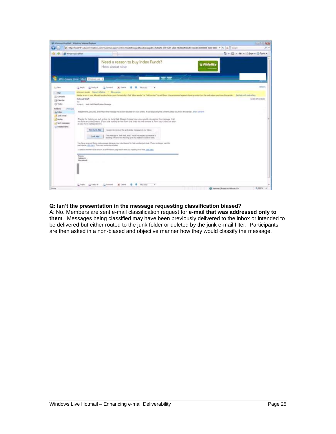| Windows Live Mail - Windows Internet Explorer                                                                                                   | [8] Http://bySEFeF-in.bySEFerent-live.com/mail/mail.augs/Control=flantMessapel/keetMessapel/>cdetal25-3cfF-4255-aES-1257-aES-7400246581add-state/D=10000000-0000000- = (Fy   30   Googra                                                                                                                                                                                                                                                                                                                                                                                    | <b>SALM</b><br><b>Dead of</b><br>品 +                       |
|-------------------------------------------------------------------------------------------------------------------------------------------------|-----------------------------------------------------------------------------------------------------------------------------------------------------------------------------------------------------------------------------------------------------------------------------------------------------------------------------------------------------------------------------------------------------------------------------------------------------------------------------------------------------------------------------------------------------------------------------|------------------------------------------------------------|
| <b>B</b> Windows Live Mail                                                                                                                      |                                                                                                                                                                                                                                                                                                                                                                                                                                                                                                                                                                             | G  四  单  2.bp  0.bn                                        |
|                                                                                                                                                 | Need a reason to buy Index Funds?<br><i><b>1 Fidelin</b></i><br>How about nine                                                                                                                                                                                                                                                                                                                                                                                                                                                                                              |                                                            |
|                                                                                                                                                 | <b>Automatical</b><br>Windows Live" Mail Importer L                                                                                                                                                                                                                                                                                                                                                                                                                                                                                                                         |                                                            |
| <b>T.S. 1840</b><br>mail<br>[E] Cartach<br>[3] Calendar<br>(3) Today<br><b>Fulders</b><br><b>Person</b><br>$L$ 3401<br><sup>O</sup> Junk e-mail | GL Forward<br>X Delete<br>as Friday<br>List Treety of<br>Mark St.<br>٠<br>Urbrown service Figure's & Delate 1 - Allow service<br>Sander to much your allowed Sanders facts your Contacts lot, Click "Wow weakn" or "Add contact" to wild frem. His recommend against showing content or this real unions you know the secolar<br><b>Ratif Sembald</b><br>Total I<br>Suitance Juris Mail Classification Message<br>Attachments, pickets, and links in the message have been blocked for your sellels; Avaid displacing this content unlate you know the sender. Show content | Option<br>Get Yeah with mail daily to<br>13:03 APR B/10/06 |
| J. Dahs<br><b>Sent measures</b><br>(c) Deleted Heria                                                                                            | Thanks for traising us put a stop to Junk Hall. Flease choses how you would categories the message that<br>we have included below. If you are reading e-craft from the Web our vel remove it from your Dibbx as easy.<br>as you have categorized it.<br><b>Nort Sunk Mad</b><br>I instant to receive the and similar messages in my britist.<br>The reescape is, both fital, and I would not expect to reserve it.<br>Jurik Hat<br>Blocking it from ever showing up in my maillier would be bent.                                                                           |                                                            |
|                                                                                                                                                 | You have received the a-mail receiving because jour valuateered to help us story pricinal. If you includes went to<br>perticipate. (8.5 Farm. This is an unmeritianist alian.)<br>To select whether to be about a confirmation page easily line you report junk or mall, (83) land-<br><b>Tropic</b><br>Subject:<br>Bergived                                                                                                                                                                                                                                                |                                                            |
| Done                                                                                                                                            | GL Formers<br>X Dire<br><b>Nova Tor</b><br>Call Firefor<br>Las Resto all<br>٠                                                                                                                                                                                                                                                                                                                                                                                                                                                                                               | m, 100%<br>Distance: Protected Mode: On                    |

#### **Q: Isn't the presentation in the message requesting classification biased?**

A: No. Members are sent e-mail classification request for **e-mail that was addressed only to them**. Messages being classified may have been previously delivered to the inbox or intended to be delivered but either routed to the junk folder or deleted by the junk e-mail filter. Participants are then asked in a non-biased and objective manner how they would classify the message.